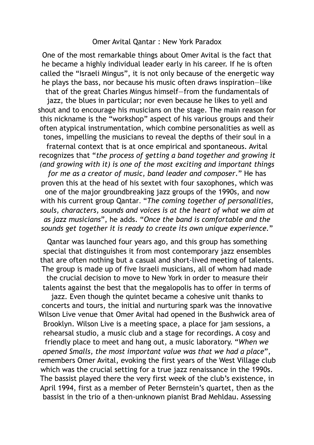## Omer Avital Qantar : New York Paradox

One of the most remarkable things about Omer Avital is the fact that he became a highly individual leader early in his career. If he is often called the "Israeli Mingus", it is not only because of the energetic way he plays the bass, nor because his music often draws inspiration—like that of the great Charles Mingus himself—from the fundamentals of jazz, the blues in particular; nor even because he likes to yell and shout and to encourage his musicians on the stage. The main reason for this nickname is the "workshop" aspect of his various groups and their often atypical instrumentation, which combine personalities as well as tones, impelling the musicians to reveal the depths of their soul in a fraternal context that is at once empirical and spontaneous. Avital recognizes that "*the process of getting a band together and growing it (and growing with it) is one of the most exciting and important things for me as a creator of music, band leader and composer*." He has proven this at the head of his sextet with four saxophones, which was one of the major groundbreaking jazz groups of the 1990s, and now with his current group Qantar. "*The coming together of personalities, souls, characters, sounds and voices is at the heart of what we aim at as jazz musicians*", he adds. "*Once the band is comfortable and the sounds get together it is ready to create its own unique experience.*"

Qantar was launched four years ago, and this group has something special that distinguishes it from most contemporary jazz ensembles that are often nothing but a casual and short-lived meeting of talents. The group is made up of five Israeli musicians, all of whom had made the crucial decision to move to New York in order to measure their talents against the best that the megalopolis has to offer in terms of jazz. Even though the quintet became a cohesive unit thanks to concerts and tours, the initial and nurturing spark was the innovative Wilson Live venue that Omer Avital had opened in the Bushwick area of Brooklyn. Wilson Live is a meeting space, a place for jam sessions, a rehearsal studio, a music club and a stage for recordings. A cosy and friendly place to meet and hang out, a music laboratory. "*When we opened Smalls, the most important value was that we had a place*", remembers Omer Avital, evoking the first years of the West Village club which was the crucial setting for a true jazz renaissance in the 1990s. The bassist played there the very first week of the club's existence, in April 1994, first as a member of Peter Bernstein's quartet, then as the bassist in the trio of a then-unknown pianist Brad Mehldau. Assessing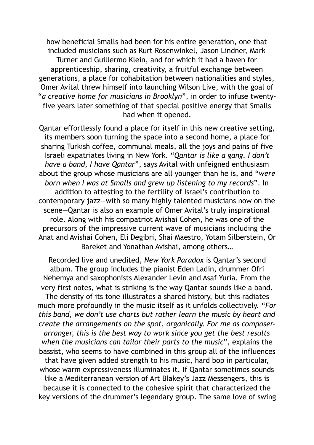how beneficial Smalls had been for his entire generation, one that included musicians such as Kurt Rosenwinkel, Jason Lindner, Mark Turner and Guillermo Klein, and for which it had a haven for apprenticeship, sharing, creativity, a fruitful exchange between generations, a place for cohabitation between nationalities and styles, Omer Avital threw himself into launching Wilson Live, with the goal of "*a creative home for musicians in Brooklyn*", in order to infuse twentyfive years later something of that special positive energy that Smalls had when it opened.

Qantar effortlessly found a place for itself in this new creative setting, its members soon turning the space into a second home, a place for sharing Turkish coffee, communal meals, all the joys and pains of five Israeli expatriates living in New York. "*Qantar is like a gang. I don't have a band, I have Qantar*", says Avital with unfeigned enthusiasm about the group whose musicians are all younger than he is, and "*were born when I was at Smalls and grew up listening to my records*". In addition to attesting to the fertility of Israel's contribution to contemporary jazz—with so many highly talented musicians now on the scene—Qantar is also an example of Omer Avital's truly inspirational role. Along with his compatriot Avishai Cohen, he was one of the precursors of the impressive current wave of musicians including the Anat and Avishai Cohen, Eli Degibri, Shai Maestro, Yotam Silberstein, Or Bareket and Yonathan Avishai, among others…

Recorded live and unedited, *New York Paradox* is Qantar's second album. The group includes the pianist Eden Ladin, drummer Ofri Nehemya and saxophonists Alexander Levin and Asaf Yuria. From the very first notes, what is striking is the way Qantar sounds like a band. The density of its tone illustrates a shared history, but this radiates much more profoundly in the music itself as it unfolds collectively. "*For this band, we don't use charts but rather learn the music by heart and create the arrangements on the spot, organically. For me as composerarranger, this is the best way to work since you get the best results when the musicians can tailor their parts to the music*", explains the bassist, who seems to have combined in this group all of the influences that have given added strength to his music, hard bop in particular, whose warm expressiveness illuminates it. If Qantar sometimes sounds like a Mediterranean version of Art Blakey's Jazz Messengers, this is because it is connected to the cohesive spirit that characterized the key versions of the drummer's legendary group. The same love of swing